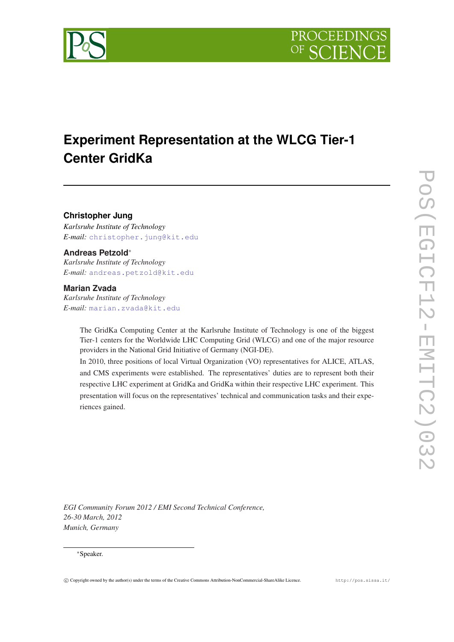

# **Experiment Representation at the WLCG Tier-1 Center GridKa**

**Christopher Jung**

*Karlsruhe Institute of Technology E-mail:* [christopher.jung@kit.edu](mailto:christopher.jung@kit.edu)

# **Andreas Petzold**<sup>∗</sup>

*Karlsruhe Institute of Technology E-mail:* [andreas.petzold@kit.edu](mailto:andreas.petzold@kit.edu)

### **Marian Zvada**

*Karlsruhe Institute of Technology E-mail:* [marian.zvada@kit.edu](mailto:marian.zvada@kit.edu)

> The GridKa Computing Center at the Karlsruhe Institute of Technology is one of the biggest Tier-1 centers for the Worldwide LHC Computing Grid (WLCG) and one of the major resource providers in the National Grid Initiative of Germany (NGI-DE).

> In 2010, three positions of local Virtual Organization (VO) representatives for ALICE, ATLAS, and CMS experiments were established. The representatives' duties are to represent both their respective LHC experiment at GridKa and GridKa within their respective LHC experiment. This presentation will focus on the representatives' technical and communication tasks and their experiences gained.

*EGI Community Forum 2012 / EMI Second Technical Conference, 26-30 March, 2012 Munich, Germany*

#### <sup>∗</sup>Speaker.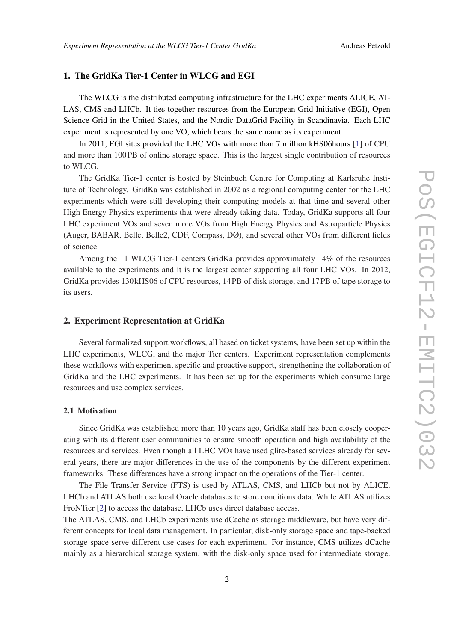# 1. The GridKa Tier-1 Center in WLCG and EGI

The WLCG is the distributed computing infrastructure for the LHC experiments ALICE, AT-LAS, CMS and LHCb. It ties together resources from the European Grid Initiative (EGI), Open Science Grid in the United States, and the Nordic DataGrid Facility in Scandinavia. Each LHC experiment is represented by one VO, which bears the same name as its experiment.

In 2011, EGI sites provided the LHC VOs with more than 7 million kHS06hours [\[1\]](#page-4-0) of CPU and more than 100PB of online storage space. This is the largest single contribution of resources to WLCG.

The GridKa Tier-1 center is hosted by Steinbuch Centre for Computing at Karlsruhe Institute of Technology. GridKa was established in 2002 as a regional computing center for the LHC experiments which were still developing their computing models at that time and several other High Energy Physics experiments that were already taking data. Today, GridKa supports all four LHC experiment VOs and seven more VOs from High Energy Physics and Astroparticle Physics (Auger, BABAR, Belle, Belle2, CDF, Compass, DØ), and several other VOs from different fields of science.

Among the 11 WLCG Tier-1 centers GridKa provides approximately 14% of the resources available to the experiments and it is the largest center supporting all four LHC VOs. In 2012, GridKa provides 130 kHS06 of CPU resources, 14PB of disk storage, and 17PB of tape storage to its users.

## 2. Experiment Representation at GridKa

Several formalized support workflows, all based on ticket systems, have been set up within the LHC experiments, WLCG, and the major Tier centers. Experiment representation complements these workflows with experiment specific and proactive support, strengthening the collaboration of GridKa and the LHC experiments. It has been set up for the experiments which consume large resources and use complex services.

#### 2.1 Motivation

Since GridKa was established more than 10 years ago, GridKa staff has been closely cooperating with its different user communities to ensure smooth operation and high availability of the resources and services. Even though all LHC VOs have used glite-based services already for several years, there are major differences in the use of the components by the different experiment frameworks. These differences have a strong impact on the operations of the Tier-1 center.

The File Transfer Service (FTS) is used by ATLAS, CMS, and LHCb but not by ALICE. LHCb and ATLAS both use local Oracle databases to store conditions data. While ATLAS utilizes FroNTier [[2\]](#page-4-0) to access the database, LHCb uses direct database access.

The ATLAS, CMS, and LHCb experiments use dCache as storage middleware, but have very different concepts for local data management. In particular, disk-only storage space and tape-backed storage space serve different use cases for each experiment. For instance, CMS utilizes dCache mainly as a hierarchical storage system, with the disk-only space used for intermediate storage.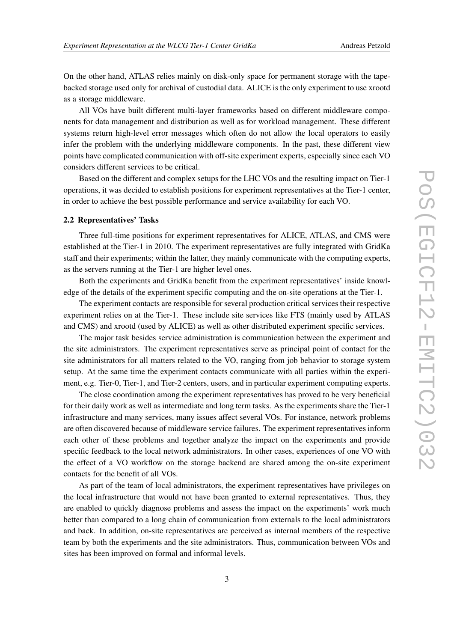On the other hand, ATLAS relies mainly on disk-only space for permanent storage with the tapebacked storage used only for archival of custodial data. ALICE is the only experiment to use xrootd as a storage middleware.

All VOs have built different multi-layer frameworks based on different middleware components for data management and distribution as well as for workload management. These different systems return high-level error messages which often do not allow the local operators to easily infer the problem with the underlying middleware components. In the past, these different view points have complicated communication with off-site experiment experts, especially since each VO considers different services to be critical.

Based on the different and complex setups for the LHC VOs and the resulting impact on Tier-1 operations, it was decided to establish positions for experiment representatives at the Tier-1 center, in order to achieve the best possible performance and service availability for each VO.

### 2.2 Representatives' Tasks

Three full-time positions for experiment representatives for ALICE, ATLAS, and CMS were established at the Tier-1 in 2010. The experiment representatives are fully integrated with GridKa staff and their experiments; within the latter, they mainly communicate with the computing experts, as the servers running at the Tier-1 are higher level ones.

Both the experiments and GridKa benefit from the experiment representatives' inside knowledge of the details of the experiment specific computing and the on-site operations at the Tier-1.

The experiment contacts are responsible for several production critical services their respective experiment relies on at the Tier-1. These include site services like FTS (mainly used by ATLAS and CMS) and xrootd (used by ALICE) as well as other distributed experiment specific services.

The major task besides service administration is communication between the experiment and the site administrators. The experiment representatives serve as principal point of contact for the site administrators for all matters related to the VO, ranging from job behavior to storage system setup. At the same time the experiment contacts communicate with all parties within the experiment, e.g. Tier-0, Tier-1, and Tier-2 centers, users, and in particular experiment computing experts.

The close coordination among the experiment representatives has proved to be very beneficial for their daily work as well as intermediate and long term tasks. As the experiments share the Tier-1 infrastructure and many services, many issues affect several VOs. For instance, network problems are often discovered because of middleware service failures. The experiment representatives inform each other of these problems and together analyze the impact on the experiments and provide specific feedback to the local network administrators. In other cases, experiences of one VO with the effect of a VO workflow on the storage backend are shared among the on-site experiment contacts for the benefit of all VOs.

As part of the team of local administrators, the experiment representatives have privileges on the local infrastructure that would not have been granted to external representatives. Thus, they are enabled to quickly diagnose problems and assess the impact on the experiments' work much better than compared to a long chain of communication from externals to the local administrators and back. In addition, on-site representatives are perceived as internal members of the respective team by both the experiments and the site administrators. Thus, communication between VOs and sites has been improved on formal and informal levels.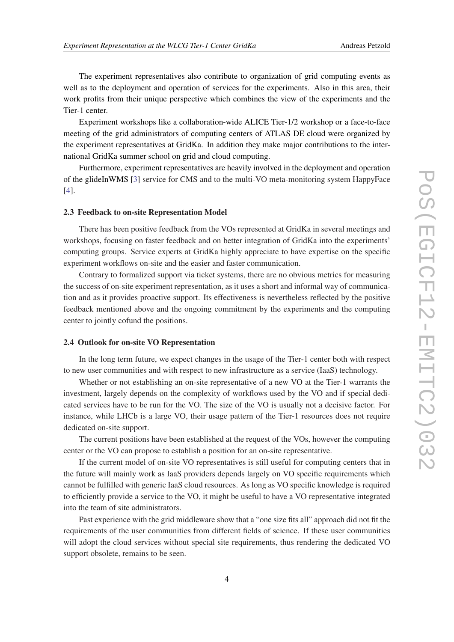The experiment representatives also contribute to organization of grid computing events as well as to the deployment and operation of services for the experiments. Also in this area, their work profits from their unique perspective which combines the view of the experiments and the Tier-1 center.

Experiment workshops like a collaboration-wide ALICE Tier-1/2 workshop or a face-to-face meeting of the grid administrators of computing centers of ATLAS DE cloud were organized by the experiment representatives at GridKa. In addition they make major contributions to the international GridKa summer school on grid and cloud computing.

Furthermore, experiment representatives are heavily involved in the deployment and operation of the glideInWMS [[3](#page-4-0)] service for CMS and to the multi-VO meta-monitoring system HappyFace [[4](#page-4-0)].

#### 2.3 Feedback to on-site Representation Model

There has been positive feedback from the VOs represented at GridKa in several meetings and workshops, focusing on faster feedback and on better integration of GridKa into the experiments' computing groups. Service experts at GridKa highly appreciate to have expertise on the specific experiment workflows on-site and the easier and faster communication.

Contrary to formalized support via ticket systems, there are no obvious metrics for measuring the success of on-site experiment representation, as it uses a short and informal way of communication and as it provides proactive support. Its effectiveness is nevertheless reflected by the positive feedback mentioned above and the ongoing commitment by the experiments and the computing center to jointly cofund the positions.

#### 2.4 Outlook for on-site VO Representation

In the long term future, we expect changes in the usage of the Tier-1 center both with respect to new user communities and with respect to new infrastructure as a service (IaaS) technology.

Whether or not establishing an on-site representative of a new VO at the Tier-1 warrants the investment, largely depends on the complexity of workflows used by the VO and if special dedicated services have to be run for the VO. The size of the VO is usually not a decisive factor. For instance, while LHCb is a large VO, their usage pattern of the Tier-1 resources does not require dedicated on-site support.

The current positions have been established at the request of the VOs, however the computing center or the VO can propose to establish a position for an on-site representative.

If the current model of on-site VO representatives is still useful for computing centers that in the future will mainly work as IaaS providers depends largely on VO specific requirements which cannot be fulfilled with generic IaaS cloud resources. As long as VO specific knowledge is required to efficiently provide a service to the VO, it might be useful to have a VO representative integrated into the team of site administrators.

Past experience with the grid middleware show that a "one size fits all" approach did not fit the requirements of the user communities from different fields of science. If these user communities will adopt the cloud services without special site requirements, thus rendering the dedicated VO support obsolete, remains to be seen.